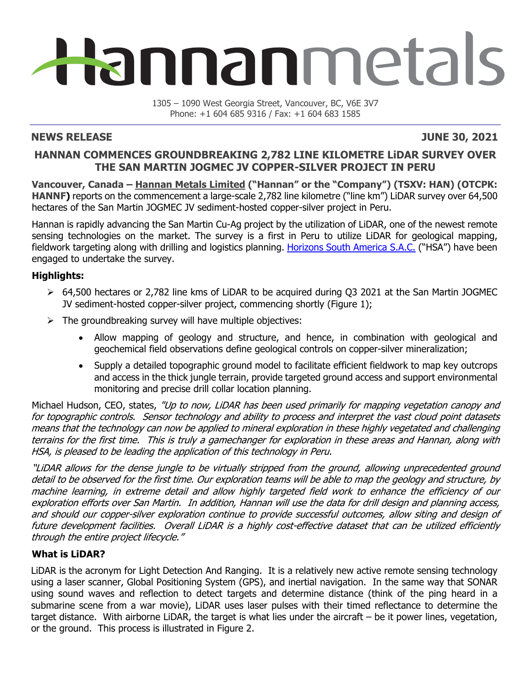# Hannanmetals

1305 – 1090 West Georgia Street, Vancouver, BC, V6E 3V7 Phone: +1 604 685 9316 / Fax: +1 604 683 1585

#### **NEWS RELEASE JUNE 30, 2021**

### **HANNAN COMMENCES GROUNDBREAKING 2,782 LINE KILOMETRE LiDAR SURVEY OVER THE SAN MARTIN JOGMEC JV COPPER-SILVER PROJECT IN PERU**

**Vancouver, Canada – Hannan Metals Limited ("Hannan" or the "Company") (TSXV: HAN) (OTCPK: HANNF)** reports on the commencement a large-scale 2,782 line kilometre ("line km") LiDAR survey over 64,500 hectares of the San Martin JOGMEC JV sediment-hosted copper-silver project in Peru.

Hannan is rapidly advancing the San Martin Cu-Ag project by the utilization of LiDAR, one of the newest remote sensing technologies on the market. The survey is a first in Peru to utilize LiDAR for geological mapping, fieldwork targeting along with drilling and logistics planning. Horizons South America S.A.C. ("HSA") have been engaged to undertake the survey.

#### **Highlights:**

- 64,500 hectares or 2,782 line kms of LiDAR to be acquired during Q3 2021 at the San Martin JOGMEC JV sediment-hosted copper-silver project, commencing shortly (Figure 1);
- $\triangleright$  The groundbreaking survey will have multiple objectives:
	- Allow mapping of geology and structure, and hence, in combination with geological and geochemical field observations define geological controls on copper-silver mineralization;
	- Supply a detailed topographic ground model to facilitate efficient fieldwork to map key outcrops and access in the thick jungle terrain, provide targeted ground access and support environmental monitoring and precise drill collar location planning.

Michael Hudson, CEO, states, "Up to now, LiDAR has been used primarily for mapping vegetation canopy and for topographic controls. Sensor technology and ability to process and interpret the vast cloud point datasets means that the technology can now be applied to mineral exploration in these highly vegetated and challenging terrains for the first time. This is truly a gamechanger for exploration in these areas and Hannan, along with HSA, is pleased to be leading the application of this technology in Peru.

"LiDAR allows for the dense jungle to be virtually stripped from the ground, allowing unprecedented ground detail to be observed for the first time. Our exploration teams will be able to map the geology and structure, by machine learning, in extreme detail and allow highly targeted field work to enhance the efficiency of our exploration efforts over San Martin. In addition, Hannan will use the data for drill design and planning access, and should our copper-silver exploration continue to provide successful outcomes, allow siting and design of future development facilities. Overall LiDAR is a highly cost-effective dataset that can be utilized efficiently through the entire project lifecycle."

#### **What is LiDAR?**

LiDAR is the acronym for Light Detection And Ranging. It is a relatively new active remote sensing technology using a laser scanner, Global Positioning System (GPS), and inertial navigation. In the same way that SONAR using sound waves and reflection to detect targets and determine distance (think of the ping heard in a submarine scene from a war movie), LiDAR uses laser pulses with their timed reflectance to determine the target distance. With airborne LiDAR, the target is what lies under the aircraft – be it power lines, vegetation, or the ground. This process is illustrated in Figure 2.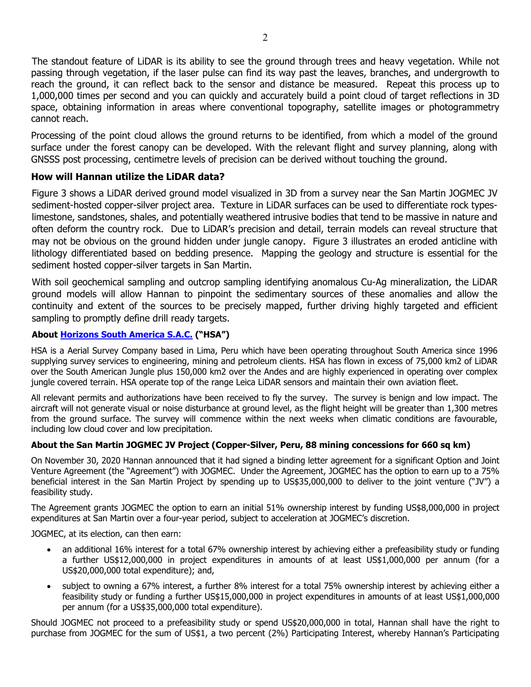The standout feature of LiDAR is its ability to see the ground through trees and heavy vegetation. While not passing through vegetation, if the laser pulse can find its way past the leaves, branches, and undergrowth to reach the ground, it can reflect back to the sensor and distance be measured. Repeat this process up to 1,000,000 times per second and you can quickly and accurately build a point cloud of target reflections in 3D space, obtaining information in areas where conventional topography, satellite images or photogrammetry cannot reach.

Processing of the point cloud allows the ground returns to be identified, from which a model of the ground surface under the forest canopy can be developed. With the relevant flight and survey planning, along with GNSSS post processing, centimetre levels of precision can be derived without touching the ground.

#### **How will Hannan utilize the LiDAR data?**

Figure 3 shows a LiDAR derived ground model visualized in 3D from a survey near the San Martin JOGMEC JV sediment-hosted copper-silver project area. Texture in LiDAR surfaces can be used to differentiate rock typeslimestone, sandstones, shales, and potentially weathered intrusive bodies that tend to be massive in nature and often deform the country rock. Due to LiDAR's precision and detail, terrain models can reveal structure that may not be obvious on the ground hidden under jungle canopy. Figure 3 illustrates an eroded anticline with lithology differentiated based on bedding presence. Mapping the geology and structure is essential for the sediment hosted copper-silver targets in San Martin.

With soil geochemical sampling and outcrop sampling identifying anomalous Cu-Ag mineralization, the LiDAR ground models will allow Hannan to pinpoint the sedimentary sources of these anomalies and allow the continuity and extent of the sources to be precisely mapped, further driving highly targeted and efficient sampling to promptly define drill ready targets.

#### **About Horizons South America S.A.C. ("HSA")**

HSA is a Aerial Survey Company based in Lima, Peru which have been operating throughout South America since 1996 supplying survey services to engineering, mining and petroleum clients. HSA has flown in excess of 75,000 km2 of LiDAR over the South American Jungle plus 150,000 km2 over the Andes and are highly experienced in operating over complex jungle covered terrain. HSA operate top of the range Leica LiDAR sensors and maintain their own aviation fleet.

All relevant permits and authorizations have been received to fly the survey. The survey is benign and low impact. The aircraft will not generate visual or noise disturbance at ground level, as the flight height will be greater than 1,300 metres from the ground surface. The survey will commence within the next weeks when climatic conditions are favourable, including low cloud cover and low precipitation.

#### **About the San Martin JOGMEC JV Project (Copper-Silver, Peru, 88 mining concessions for 660 sq km)**

On November 30, 2020 Hannan announced that it had signed a binding letter agreement for a significant Option and Joint Venture Agreement (the "Agreement") with JOGMEC. Under the Agreement, JOGMEC has the option to earn up to a 75% beneficial interest in the San Martin Project by spending up to US\$35,000,000 to deliver to the joint venture ("JV") a feasibility study.

The Agreement grants JOGMEC the option to earn an initial 51% ownership interest by funding US\$8,000,000 in project expenditures at San Martin over a four-year period, subject to acceleration at JOGMEC's discretion.

JOGMEC, at its election, can then earn:

- an additional 16% interest for a total 67% ownership interest by achieving either a prefeasibility study or funding a further US\$12,000,000 in project expenditures in amounts of at least US\$1,000,000 per annum (for a US\$20,000,000 total expenditure); and,
- subject to owning a 67% interest, a further 8% interest for a total 75% ownership interest by achieving either a feasibility study or funding a further US\$15,000,000 in project expenditures in amounts of at least US\$1,000,000 per annum (for a US\$35,000,000 total expenditure).

Should JOGMEC not proceed to a prefeasibility study or spend US\$20,000,000 in total, Hannan shall have the right to purchase from JOGMEC for the sum of US\$1, a two percent (2%) Participating Interest, whereby Hannan's Participating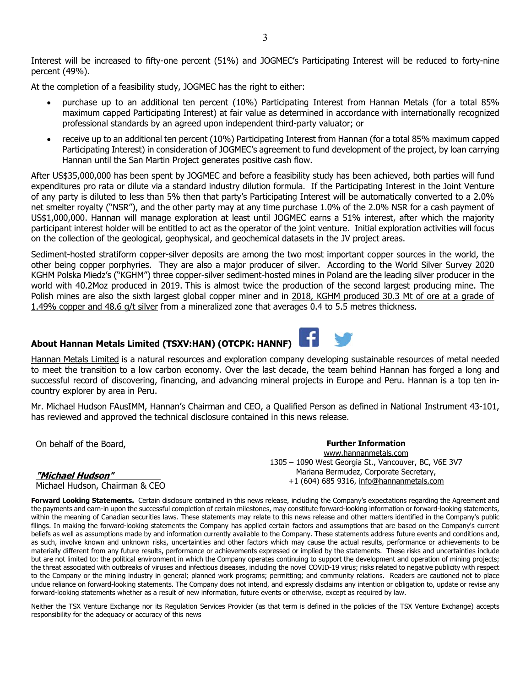Interest will be increased to fifty-one percent (51%) and JOGMEC's Participating Interest will be reduced to forty-nine percent (49%).

At the completion of a feasibility study, JOGMEC has the right to either:

- purchase up to an additional ten percent (10%) Participating Interest from Hannan Metals (for a total 85% maximum capped Participating Interest) at fair value as determined in accordance with internationally recognized professional standards by an agreed upon independent third-party valuator; or
- receive up to an additional ten percent (10%) Participating Interest from Hannan (for a total 85% maximum capped Participating Interest) in consideration of JOGMEC's agreement to fund development of the project, by loan carrying Hannan until the San Martin Project generates positive cash flow.

After US\$35,000,000 has been spent by JOGMEC and before a feasibility study has been achieved, both parties will fund expenditures pro rata or dilute via a standard industry dilution formula. If the Participating Interest in the Joint Venture of any party is diluted to less than 5% then that party's Participating Interest will be automatically converted to a 2.0% net smelter royalty ("NSR"), and the other party may at any time purchase 1.0% of the 2.0% NSR for a cash payment of US\$1,000,000. Hannan will manage exploration at least until JOGMEC earns a 51% interest, after which the majority participant interest holder will be entitled to act as the operator of the joint venture. Initial exploration activities will focus on the collection of the geological, geophysical, and geochemical datasets in the JV project areas.

Sediment-hosted stratiform copper-silver deposits are among the two most important copper sources in the world, the other being copper porphyries. They are also a major producer of silver. According to the World Silver Survey 2020 KGHM Polska Miedz's ("KGHM") three copper-silver sediment-hosted mines in Poland are the leading silver producer in the world with 40.2Moz produced in 2019. This is almost twice the production of the second largest producing mine. The Polish mines are also the sixth largest global copper miner and in 2018, KGHM produced 30.3 Mt of ore at a grade of 1.49% copper and 48.6 g/t silver from a mineralized zone that averages 0.4 to 5.5 metres thickness.

#### **About Hannan Metals Limited (TSXV:HAN) (OTCPK: HANNF)**

Hannan Metals Limited is a natural resources and exploration company developing sustainable resources of metal needed to meet the transition to a low carbon economy. Over the last decade, the team behind Hannan has forged a long and successful record of discovering, financing, and advancing mineral projects in Europe and Peru. Hannan is a top ten incountry explorer by area in Peru.

Mr. Michael Hudson FAusIMM, Hannan's Chairman and CEO, a Qualified Person as defined in National Instrument 43-101, has reviewed and approved the technical disclosure contained in this news release.

On behalf of the Board,

#### **"Michael Hudson"**

Michael Hudson, Chairman & CEO

**Forward Looking Statements.** Certain disclosure contained in this news release, including the Company's expectations regarding the Agreement and the payments and earn-in upon the successful completion of certain milestones, may constitute forward-looking information or forward-looking statements, within the meaning of Canadian securities laws. These statements may relate to this news release and other matters identified in the Company's public filings. In making the forward-looking statements the Company has applied certain factors and assumptions that are based on the Company's current beliefs as well as assumptions made by and information currently available to the Company. These statements address future events and conditions and, as such, involve known and unknown risks, uncertainties and other factors which may cause the actual results, performance or achievements to be materially different from any future results, performance or achievements expressed or implied by the statements. These risks and uncertainties include but are not limited to: the political environment in which the Company operates continuing to support the development and operation of mining projects; the threat associated with outbreaks of viruses and infectious diseases, including the novel COVID-19 virus; risks related to negative publicity with respect to the Company or the mining industry in general; planned work programs; permitting; and community relations. Readers are cautioned not to place undue reliance on forward-looking statements. The Company does not intend, and expressly disclaims any intention or obligation to, update or revise any forward-looking statements whether as a result of new information, future events or otherwise, except as required by law.

Neither the TSX Venture Exchange nor its Regulation Services Provider (as that term is defined in the policies of the TSX Venture Exchange) accepts responsibility for the adequacy or accuracy of this news



**Further Information**  www.hannanmetals.com 1305 – 1090 West Georgia St., Vancouver, BC, V6E 3V7 Mariana Bermudez, Corporate Secretary, +1 (604) 685 9316, info@hannanmetals.com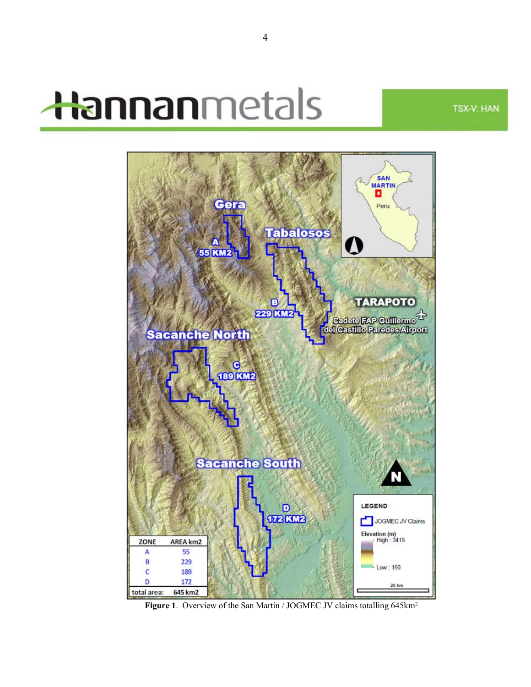## Hannanmetals

**TSX-V: HAN** 



Figure 1. Overview of the San Martin / JOGMEC JV claims totalling 645km<sup>2</sup>